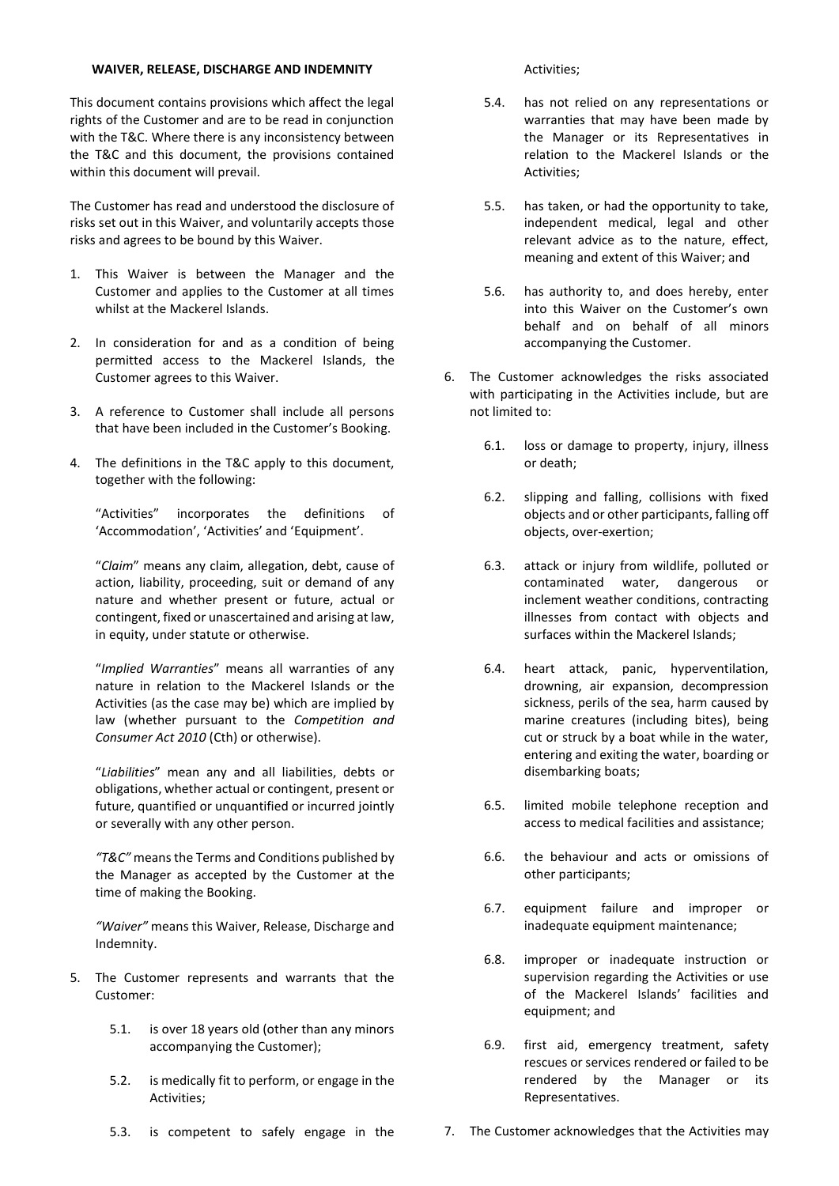## **WAIVER, RELEASE, DISCHARGE AND INDEMNITY**

This document contains provisions which affect the legal rights of the Customer and are to be read in conjunction with the T&C. Where there is any inconsistency between the T&C and this document, the provisions contained within this document will prevail.

The Customer has read and understood the disclosure of risks set out in this Waiver, and voluntarily accepts those risks and agrees to be bound by this Waiver.

- 1. This Waiver is between the Manager and the Customer and applies to the Customer at all times whilst at the Mackerel Islands.
- 2. In consideration for and as a condition of being permitted access to the Mackerel Islands, the Customer agrees to this Waiver.
- 3. A reference to Customer shall include all persons that have been included in the Customer's Booking.
- 4. The definitions in the T&C apply to this document, together with the following:

"Activities" incorporates the definitions of 'Accommodation', 'Activities' and 'Equipment'.

"*Claim*" means any claim, allegation, debt, cause of action, liability, proceeding, suit or demand of any nature and whether present or future, actual or contingent, fixed or unascertained and arising at law, in equity, under statute or otherwise.

"*Implied Warranties*" means all warranties of any nature in relation to the Mackerel Islands or the Activities (as the case may be) which are implied by law (whether pursuant to the *Competition and Consumer Act 2010* (Cth) or otherwise).

"*Liabilities*" mean any and all liabilities, debts or obligations, whether actual or contingent, present or future, quantified or unquantified or incurred jointly or severally with any other person.

*"T&C"* means the Terms and Conditions published by the Manager as accepted by the Customer at the time of making the Booking.

*"Waiver"* means this Waiver, Release, Discharge and Indemnity.

- 5. The Customer represents and warrants that the Customer:
	- 5.1. is over 18 years old (other than any minors accompanying the Customer);
	- 5.2. is medically fit to perform, or engage in the Activities;

Activities;

- 5.4. has not relied on any representations or warranties that may have been made by the Manager or its Representatives in relation to the Mackerel Islands or the Activities;
- 5.5. has taken, or had the opportunity to take, independent medical, legal and other relevant advice as to the nature, effect, meaning and extent of this Waiver; and
- 5.6. has authority to, and does hereby, enter into this Waiver on the Customer's own behalf and on behalf of all minors accompanying the Customer.
- 6. The Customer acknowledges the risks associated with participating in the Activities include, but are not limited to:
	- 6.1. loss or damage to property, injury, illness or death;
	- 6.2. slipping and falling, collisions with fixed objects and or other participants, falling off objects, over-exertion;
	- 6.3. attack or injury from wildlife, polluted or contaminated water, dangerous or inclement weather conditions, contracting illnesses from contact with objects and surfaces within the Mackerel Islands;
	- 6.4. heart attack, panic, hyperventilation, drowning, air expansion, decompression sickness, perils of the sea, harm caused by marine creatures (including bites), being cut or struck by a boat while in the water, entering and exiting the water, boarding or disembarking boats;
	- 6.5. limited mobile telephone reception and access to medical facilities and assistance;
	- 6.6. the behaviour and acts or omissions of other participants;
	- 6.7. equipment failure and improper or inadequate equipment maintenance;
	- 6.8. improper or inadequate instruction or supervision regarding the Activities or use of the Mackerel Islands' facilities and equipment; and
	- 6.9. first aid, emergency treatment, safety rescues or services rendered or failed to be rendered by the Manager or its Representatives.
- 5.3. is competent to safely engage in the
- 7. The Customer acknowledges that the Activities may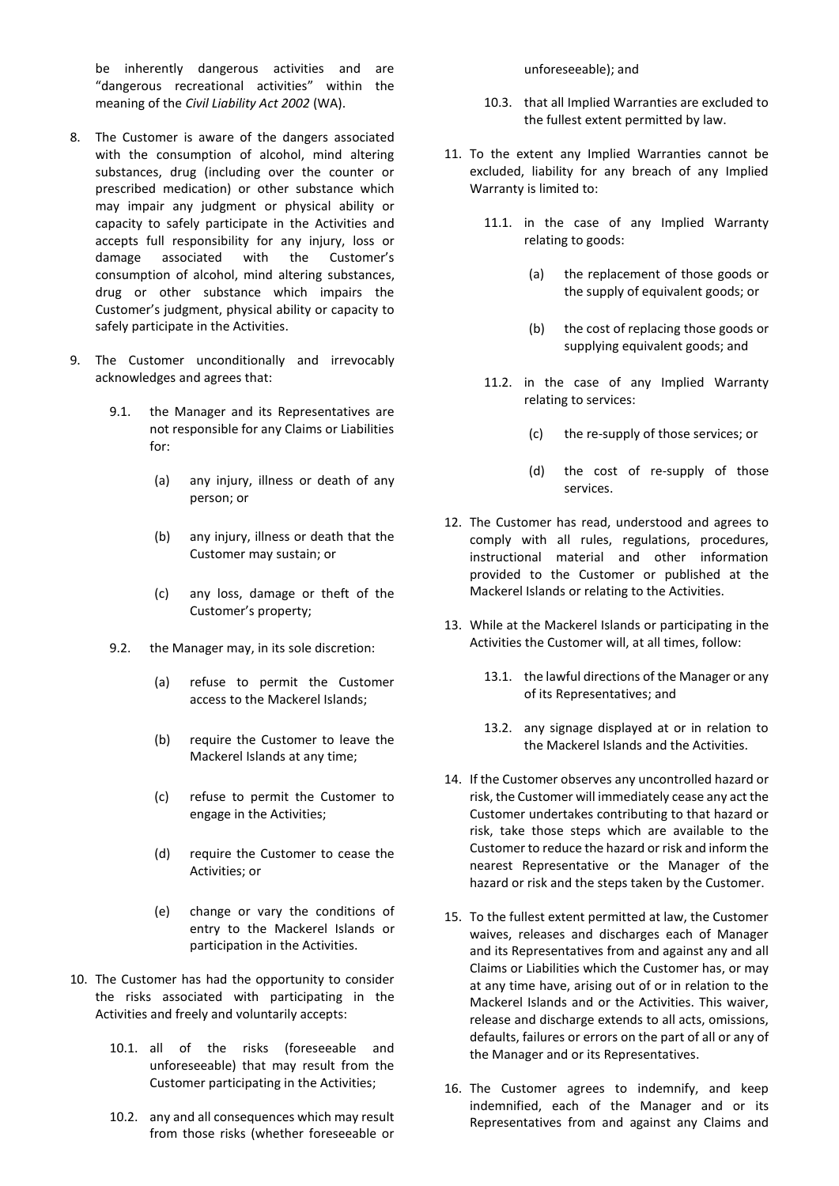be inherently dangerous activities and are "dangerous recreational activities" within the meaning of the *Civil Liability Act 2002* (WA).

- 8. The Customer is aware of the dangers associated with the consumption of alcohol, mind altering substances, drug (including over the counter or prescribed medication) or other substance which may impair any judgment or physical ability or capacity to safely participate in the Activities and accepts full responsibility for any injury, loss or damage associated with the Customer's consumption of alcohol, mind altering substances, drug or other substance which impairs the Customer's judgment, physical ability or capacity to safely participate in the Activities.
- 9. The Customer unconditionally and irrevocably acknowledges and agrees that:
	- 9.1. the Manager and its Representatives are not responsible for any Claims or Liabilities for:
		- (a) any injury, illness or death of any person; or
		- (b) any injury, illness or death that the Customer may sustain; or
		- (c) any loss, damage or theft of the Customer's property;
	- 9.2. the Manager may, in its sole discretion:
		- (a) refuse to permit the Customer access to the Mackerel Islands;
		- (b) require the Customer to leave the Mackerel Islands at any time;
		- (c) refuse to permit the Customer to engage in the Activities;
		- (d) require the Customer to cease the Activities; or
		- (e) change or vary the conditions of entry to the Mackerel Islands or participation in the Activities.
- 10. The Customer has had the opportunity to consider the risks associated with participating in the Activities and freely and voluntarily accepts:
	- 10.1. all of the risks (foreseeable and unforeseeable) that may result from the Customer participating in the Activities;
	- 10.2. any and all consequences which may result from those risks (whether foreseeable or

## unforeseeable); and

- 10.3. that all Implied Warranties are excluded to the fullest extent permitted by law.
- 11. To the extent any Implied Warranties cannot be excluded, liability for any breach of any Implied Warranty is limited to:
	- 11.1. in the case of any Implied Warranty relating to goods:
		- (a) the replacement of those goods or the supply of equivalent goods; or
		- (b) the cost of replacing those goods or supplying equivalent goods; and
	- 11.2. in the case of any Implied Warranty relating to services:
		- (c) the re-supply of those services; or
		- (d) the cost of re-supply of those services.
- 12. The Customer has read, understood and agrees to comply with all rules, regulations, procedures, instructional material and other information provided to the Customer or published at the Mackerel Islands or relating to the Activities.
- 13. While at the Mackerel Islands or participating in the Activities the Customer will, at all times, follow:
	- 13.1. the lawful directions of the Manager or any of its Representatives; and
	- 13.2. any signage displayed at or in relation to the Mackerel Islands and the Activities.
- 14. If the Customer observes any uncontrolled hazard or risk, the Customer will immediately cease any act the Customer undertakes contributing to that hazard or risk, take those steps which are available to the Customer to reduce the hazard or risk and inform the nearest Representative or the Manager of the hazard or risk and the steps taken by the Customer.
- 15. To the fullest extent permitted at law, the Customer waives, releases and discharges each of Manager and its Representatives from and against any and all Claims or Liabilities which the Customer has, or may at any time have, arising out of or in relation to the Mackerel Islands and or the Activities. This waiver, release and discharge extends to all acts, omissions, defaults, failures or errors on the part of all or any of the Manager and or its Representatives.
- 16. The Customer agrees to indemnify, and keep indemnified, each of the Manager and or its Representatives from and against any Claims and